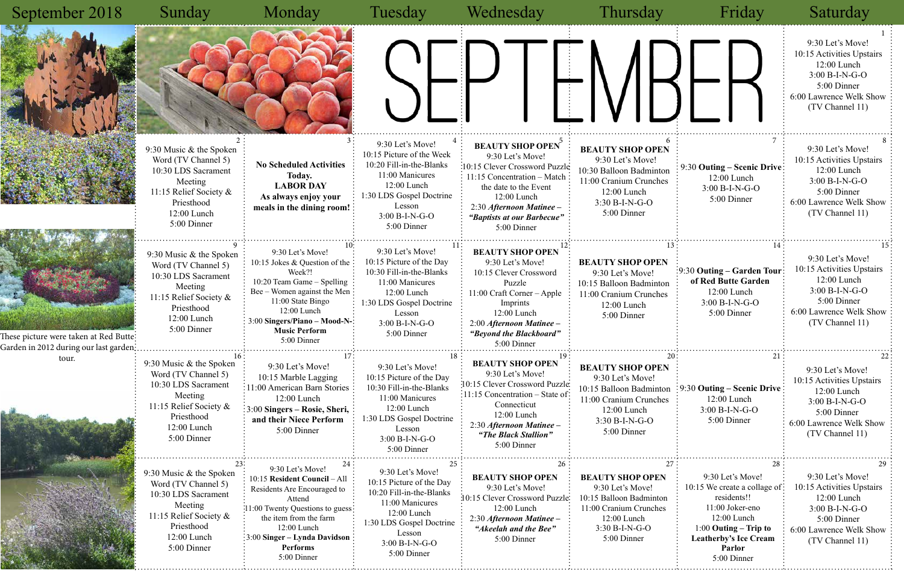5:00 Dinner

#### Sunday Monday Tuesday Wednesday Thursday Friday Saturday <u>1</u>  $\frac{2}{3}$   $\frac{3}{2}$   $\frac{3}{2}$   $\frac{3}{2}$   $\frac{4}{3}$   $\frac{4}{3}$  REALITY SHOP OPEN  $\frac{5}{3}$   $\frac{6}{2}$   $\frac{6}{3}$   $\frac{7}{3}$   $\frac{8}{3}$ 9 :  $10^{10}$  200 1 1  $11^{11}$   $\sum_{i=1}^{11}$   $12^{12}$   $13^{11}$   $14^{11}$   $15^{11}$  $23: 24: 23: 24: 25: 26: 27: 28: 29$  $16:$  17: 18:  $18:$  18:  $20:$  21: 22 September 2018 9:30 Let's Move! 10:15 Picture of the Week 10:20 Fill-in-the-Blanks 11:00 Manicures 12:00 Lunch 1:30 LDS Gospel Doctrine Lesson 3:00 B-I-N-G-O 5:00 Dinner **BEAUTY SHOP OPEN** 9:30 Let's Move! 10:15 Clever Crossword Puzzle 11:15 Concentration – Match the date to the Event 12:00 Lunch 2:30 *Afternoon Matinee – "Baptists at our Barbecue"* 5:00 Dinner **BEAUTY SHOP OPE**  9:30 Let's Move! 10:30 Balloon Badmint 11:00 Cranium Crunche 12:00 Lunch 3:30 B-I-N-G-O 5:00 Dinner 9:30 Music & the Spoken Word (TV Channel 5) 10:30 LDS Sacrament Meeting 11:15 Relief Society & Priesthood 12:00 Lunch 5:00 Dinner 9:30 Let's Move! 10:15 Jokes & Question of the Week?! 10:20 Team Game – Spelling Bee – Women against the Men 11:00 State Bingo 12:00 Lunch 3:00 **Singers/Piano – Mood-N-Music Perform** 5:00 Dinner 9:30 Let's Move! 10:15 Picture of the Day 10:30 Fill-in-the-Blanks 11:00 Manicures 12:00 Lunch 1:30 LDS Gospel Doctrine Lesson 3:00 B-I-N-G-O 5:00 Dinner **BEAUTY SHOP OPEN** 9:30 Let's Move! 10:15 Clever Crossword Puzzle 11:00 Craft Corner – Apple Imprints 12:00 Lunch 2:00 *Afternoon Matinee – "Beyond the Blackboard"* 5:00 Dinner **BEAUTY SHOP OPE** 9:30 Let's Move! 10:15 Balloon Badminto 11:00 Cranium Crunche 12:00 Lunch 5:00 Dinner 9:30 Music & the Spoken Word (TV Channel 5) 10:30 LDS Sacrament Meeting 11:15 Relief Society & Priesthood 12:00 Lunch 5:00 Dinner 9:30 Music & the Spoken Word (TV Channel 5) 10:30 LDS Sacrament Meeting 11:15 Relief Society & Priesthood 12:00 Lunch 9:30 Let's Move! 10:15 **Resident Council** – All Residents Are Encouraged to Attend 11:00 Twenty Questions to guess the item from the farm 12:00 Lunch 3:00 **Singer – Lynda Davidson**  9:30 Let's Move! 10:15 Marble Lagging 11:00 American Barn Stories 12:00 Lunch 3:00 **Singers – Rosie, Sheri, and their Niece Perform** 5:00 Dinner **BEAUTY SHOP OPEN** 9:30 Let's Move! 10:15 Clever Crossword Puzzle 11:15 Concentration – State of Connecticut 12:00 Lunch 2:30 *Afternoon Matinee – "The Black Stallion"* 5:00 Dinner 9:30 Let's Move! 10:15 Picture of the Day 10:30 Fill-in-the-Blanks 11:00 Manicures 12:00 Lunch 1:30 LDS Gospel Doctrine Lesson 3:00 B-I-N-G-O 5:00 Dinner 9:30 Music & the Spoken Word (TV Channel 5) 10:30 LDS Sacrament Meeting 11:15 Relief Society & Priesthood 12:00 Lunch 5:00 Dinner  **No Scheduled Activities Today. LABOR DAY As always enjoy your meals in the dining room! BEAUTY SHOP OPE** 9:30 Let's Move! 10:15 Balloon Badminton 11:00 Cranium Crunch 12:00 Lunch 3:30 B-I-N-G-O 5:00 Dinner 9:30 Let's Move! 10:15 Picture of the Day 10:20 Fill-in-the-Blanks 11:00 Manicures 12:00 Lunch 1:30 LDS Gospel Doctrine Lesson **BEAUTY SHOP OPEN** 9:30 Let's Move! 10:15 Clever Crossword Puzzle 12:00 Lunch 2:30 *Afternoon Matinee – "Akeelah and the Bee"* 5:00 Dinner **BEAUTY SHOP OPEN** 9:30 Let's Move! 10:15 Balloon Badminto 11:00 Cranium Crunche 12:00 Lunch 3:30 B-I-N-G-O 5:00 Dinner These picture were taken at Red Butte: Garden in 2012 during our last garden tour.

|                                            | Friday                                                                                                                                                                                       | Saturday                                                                                                                                            |
|--------------------------------------------|----------------------------------------------------------------------------------------------------------------------------------------------------------------------------------------------|-----------------------------------------------------------------------------------------------------------------------------------------------------|
|                                            |                                                                                                                                                                                              | 1<br>9:30 Let's Move!<br>10:15 Activities Upstairs<br>12:00 Lunch<br>3:00 B-I-N-G-O<br>5:00 Dinner<br>6:00 Lawrence Welk Show<br>(TV Channel 11)    |
| 6<br>'N<br>on<br>es                        | 7<br>9:30 Outing – Scenic Drive<br>12:00 Lunch<br>$3:00 B-I-N-G-O$<br>5:00 Dinner                                                                                                            | 8<br>9:30 Let's Move!<br>10:15 Activities Upstairs<br>12:00 Lunch<br>3:00 B-I-N-G-O<br>5:00 Dinner<br>6:00 Lawrence Welk Show<br>(TV Channel 11)    |
| 13<br>N<br>on<br>$\overline{\mathbf{c}}$ s | 14<br>9:30 Outing – Garden Tour<br>of Red Butte Garden<br>12:00 Lunch<br>3:00 B-I-N-G-O<br>5:00 Dinner                                                                                       | 15<br>9:30 Let's Move!<br>10:15 Activities Upstairs<br>12:00 Lunch<br>3:00 B-I-N-G-O<br>5:00 Dinner<br>6:00 Lawrence Welk Show<br>(TV Channel 11)   |
| 20<br>'N<br>on<br>es                       | 21<br>9:30 Outing – Scenic Drive<br>12:00 Lunch<br>3:00 B-I-N-G-O<br>5:00 Dinner                                                                                                             | 22<br>9:30 Let's Move!<br>10:15 Activities Upstairs<br>$12:00$ Lunch<br>3:00 B-I-N-G-O<br>5:00 Dinner<br>6:00 Lawrence Welk Show<br>(TV Channel 11) |
| 27<br>V<br>m<br>:S                         | 28<br>9:30 Let's Move!<br>10:15 We create a collage of:<br>residents!!<br>11:00 Joker-eno<br>12:00 Lunch<br>$1:00$ Outing – Trip to<br><b>Leatherby's Ice Cream</b><br>Parlor<br>5:00 Dinner | 29<br>9:30 Let's Move!<br>10:15 Activities Upstairs<br>12:00 Lunch<br>3:00 B-I-N-G-O<br>5:00 Dinner<br>6:00 Lawrence Welk Show<br>(TV Channel 11)   |

**Performs** 5:00 Dinner 3:00 B-I-N-G-O 5:00 Dinner